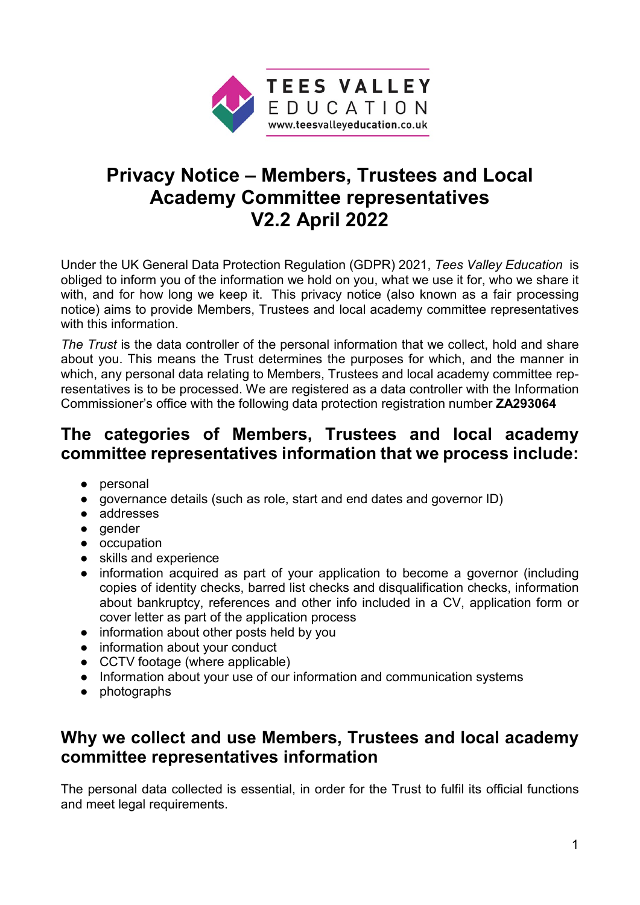

# **Privacy Notice – Members, Trustees and Local Academy Committee representatives V2.2 April 2022**

Under the UK General Data Protection Regulation (GDPR) 2021, *Tees Valley Education* is obliged to inform you of the information we hold on you, what we use it for, who we share it with, and for how long we keep it. This privacy notice (also known as a fair processing notice) aims to provide Members, Trustees and local academy committee representatives with this information.

*The Trust* is the data controller of the personal information that we collect, hold and share about you. This means the Trust determines the purposes for which, and the manner in which, any personal data relating to Members, Trustees and local academy committee representatives is to be processed. We are registered as a data controller with the Information Commissioner's office with the following data protection registration number **ZA293064**

### **The categories of Members, Trustees and local academy committee representatives information that we process include:**

- personal
- governance details (such as role, start and end dates and governor ID)
- addresses
- gender
- occupation
- skills and experience
- information acquired as part of your application to become a governor (including copies of identity checks, barred list checks and disqualification checks, information about bankruptcy, references and other info included in a CV, application form or cover letter as part of the application process
- information about other posts held by you
- information about your conduct
- CCTV footage (where applicable)
- Information about your use of our information and communication systems
- photographs

## **Why we collect and use Members, Trustees and local academy committee representatives information**

The personal data collected is essential, in order for the Trust to fulfil its official functions and meet legal requirements.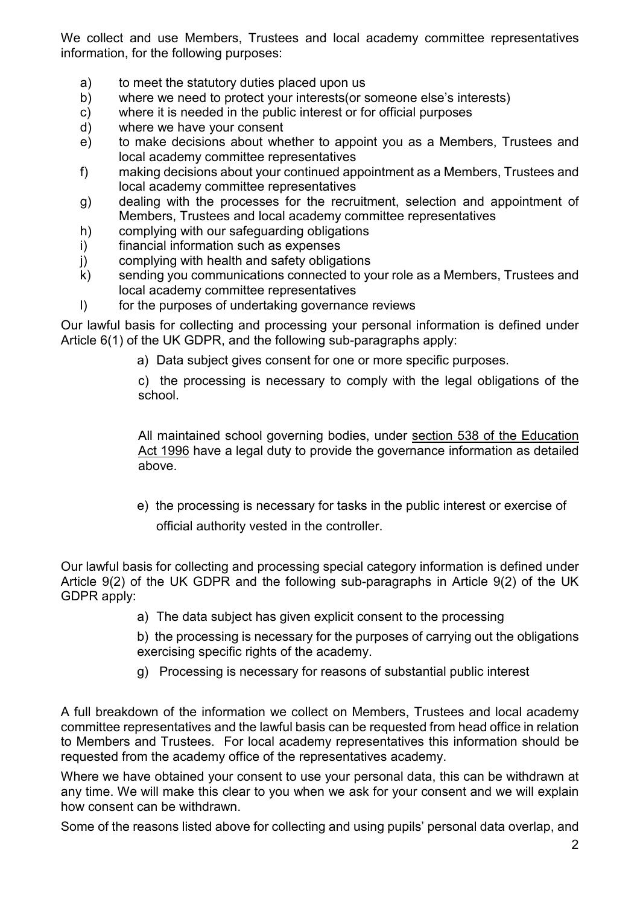We collect and use Members, Trustees and local academy committee representatives information, for the following purposes:

- a) to meet the statutory duties placed upon us
- b) where we need to protect your interests(or someone else's interests)
- c) where it is needed in the public interest or for official purposes
- d) where we have your consent
- e) to make decisions about whether to appoint you as a Members, Trustees and local academy committee representatives
- f) making decisions about your continued appointment as a Members, Trustees and local academy committee representatives
- g) dealing with the processes for the recruitment, selection and appointment of Members, Trustees and local academy committee representatives
- h) complying with our safeguarding obligations
- i) financial information such as expenses
- j) complying with health and safety obligations
- k) sending you communications connected to your role as a Members, Trustees and local academy committee representatives
- l) for the purposes of undertaking governance reviews

Our lawful basis for collecting and processing your personal information is defined under Article 6(1) of the UK GDPR, and the following sub-paragraphs apply:

a) Data subject gives consent for one or more specific purposes.

c) the processing is necessary to comply with the legal obligations of the school.

All maintained school governing bodies, under [section 538 of the Education](http://www.legislation.gov.uk/ukpga/1996/56/section/538)  [Act 1996](http://www.legislation.gov.uk/ukpga/1996/56/section/538) have a legal duty to provide the governance information as detailed above.

e) the processing is necessary for tasks in the public interest or exercise of

official authority vested in the controller.

Our lawful basis for collecting and processing special category information is defined under Article 9(2) of the UK GDPR and the following sub-paragraphs in Article 9(2) of the UK GDPR apply:

a) The data subject has given explicit consent to the processing

b) the processing is necessary for the purposes of carrying out the obligations exercising specific rights of the academy.

g) Processing is necessary for reasons of substantial public interest

A full breakdown of the information we collect on Members, Trustees and local academy committee representatives and the lawful basis can be requested from head office in relation to Members and Trustees. For local academy representatives this information should be requested from the academy office of the representatives academy.

Where we have obtained your consent to use your personal data, this can be withdrawn at any time. We will make this clear to you when we ask for your consent and we will explain how consent can be withdrawn.

Some of the reasons listed above for collecting and using pupils' personal data overlap, and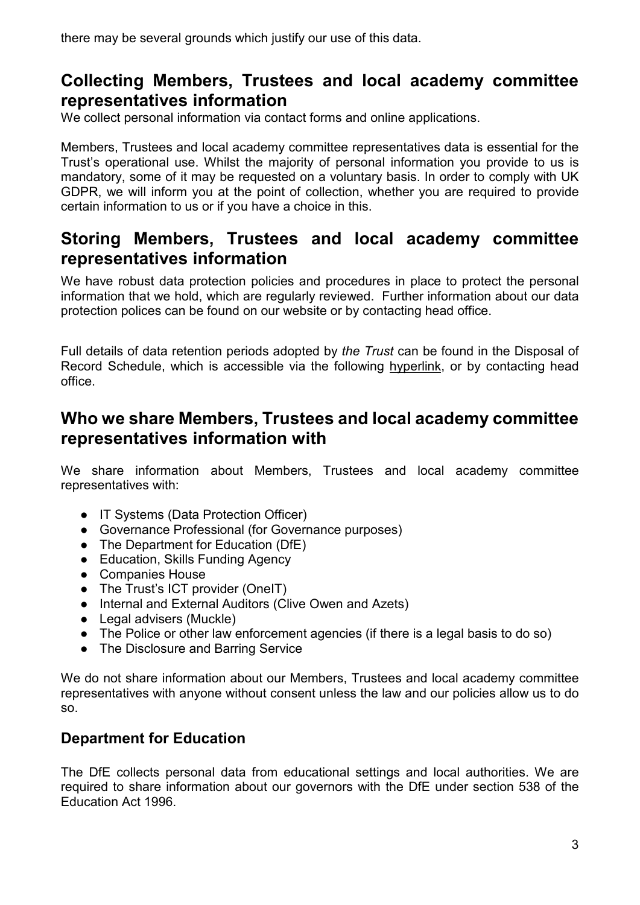there may be several grounds which justify our use of this data.

### **Collecting Members, Trustees and local academy committee representatives information**

We collect personal information via contact forms and online applications.

Members, Trustees and local academy committee representatives data is essential for the Trust's operational use. Whilst the majority of personal information you provide to us is mandatory, some of it may be requested on a voluntary basis. In order to comply with UK GDPR, we will inform you at the point of collection, whether you are required to provide certain information to us or if you have a choice in this.

### **Storing Members, Trustees and local academy committee representatives information**

We have robust data protection policies and procedures in place to protect the personal information that we hold, which are regularly reviewed. Further information about our data protection polices can be found on our website or by contacting head office.

Full details of data retention periods adopted by *the Trust* can be found in the Disposal of Record Schedule, which is accessible via the following [hyperlink,](http://wsd.we-learn.com/downloads/GDPR/2016_IRMS_Toolkit_for_Schools_v5_Master.pdf#:%7E:text=The%20Information%20Management%20Toolkit%20for%20Schools%20has%20been,compliance%20with%20the%20Freedom%20of%20Information%20Act%202000.) or by contacting head office.

### **Who we share Members, Trustees and local academy committee representatives information with**

We share information about Members, Trustees and local academy committee representatives with:

- IT Systems (Data Protection Officer)
- Governance Professional (for Governance purposes)
- The Department for Education (DfE)
- Education, Skills Funding Agency
- Companies House
- The Trust's ICT provider (OneIT)
- Internal and External Auditors (Clive Owen and Azets)
- Legal advisers (Muckle)
- The Police or other law enforcement agencies (if there is a legal basis to do so)
- The Disclosure and Barring Service

We do not share information about our Members, Trustees and local academy committee representatives with anyone without consent unless the law and our policies allow us to do so.

#### **Department for Education**

The DfE collects personal data from educational settings and local authorities. We are required to share information about our governors with the DfE under section 538 of the Education Act 1996.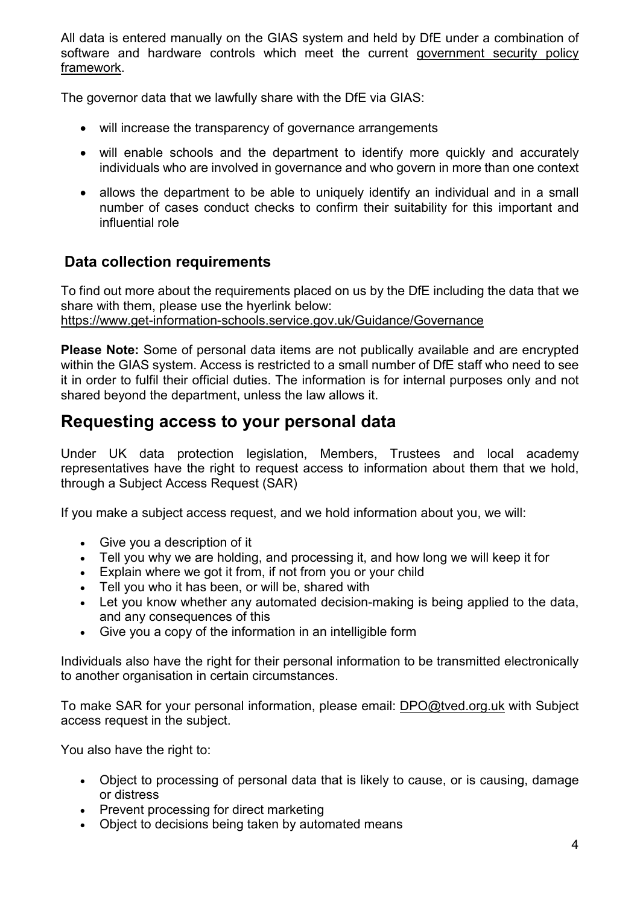All data is entered manually on the GIAS system and held by DfE under a combination of software and hardware controls which meet the current [government security policy](https://www.gov.uk/government/publications/security-policy-framework)  [framework.](https://www.gov.uk/government/publications/security-policy-framework)

The governor data that we lawfully share with the DfE via GIAS:

- will increase the transparency of governance arrangements
- will enable schools and the department to identify more quickly and accurately individuals who are involved in governance and who govern in more than one context
- allows the department to be able to uniquely identify an individual and in a small number of cases conduct checks to confirm their suitability for this important and influential role

### **Data collection requirements**

To find out more about the requirements placed on us by the DfE including the data that we share with them, please use the hyerlink below: <https://www.get-information-schools.service.gov.uk/Guidance/Governance>

**Please Note:** Some of personal data items are not publically available and are encrypted within the GIAS system. Access is restricted to a small number of DfE staff who need to see it in order to fulfil their official duties. The information is for internal purposes only and not shared beyond the department, unless the law allows it.

### **Requesting access to your personal data**

Under UK data protection legislation, Members, Trustees and local academy representatives have the right to request access to information about them that we hold, through a Subject Access Request (SAR)

If you make a subject access request, and we hold information about you, we will:

- Give you a description of it
- Tell you why we are holding, and processing it, and how long we will keep it for
- Explain where we got it from, if not from you or your child
- Tell you who it has been, or will be, shared with
- Let you know whether any automated decision-making is being applied to the data, and any consequences of this
- Give you a copy of the information in an intelligible form

Individuals also have the right for their personal information to be transmitted electronically to another organisation in certain circumstances.

To make SAR for your personal information, please email: [DPO@tved.org.uk](mailto:DPO@tved.org.uk) with Subject access request in the subject.

You also have the right to:

- Object to processing of personal data that is likely to cause, or is causing, damage or distress
- Prevent processing for direct marketing
- Object to decisions being taken by automated means